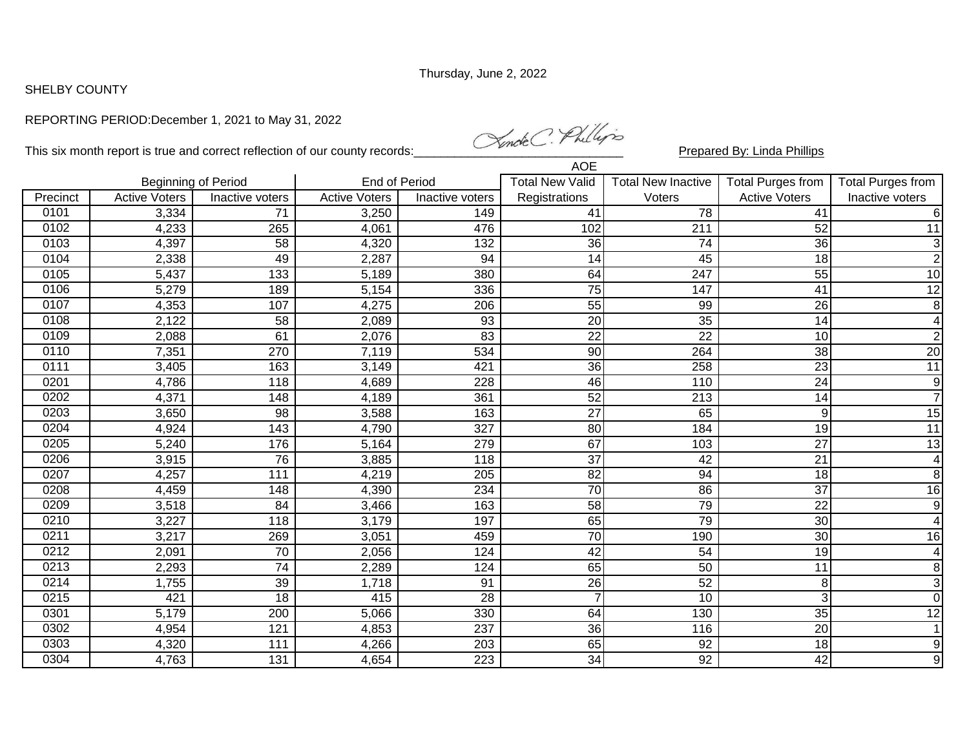## SHELBY COUNTY

## REPORTING PERIOD:December 1, 2021 to May 31, 2022

This six month report is true and correct reflection of our county records: Marchetter Phillips Prepared By: Linda Phillips  $\overline{A}$ OE

| AUE      |                            |                  |                      |                  |                        |                           |                      |                          |
|----------|----------------------------|------------------|----------------------|------------------|------------------------|---------------------------|----------------------|--------------------------|
|          | <b>Beginning of Period</b> |                  | <b>End of Period</b> |                  | <b>Total New Valid</b> | <b>Total New Inactive</b> | Total Purges from    | <b>Total Purges from</b> |
| Precinct | <b>Active Voters</b>       | Inactive voters  | <b>Active Voters</b> | Inactive voters  | Registrations          | Voters                    | <b>Active Voters</b> | Inactive voters          |
| 0101     | 3,334                      | 71               | 3,250                | 149              | 41                     | 78                        | 41                   | $6\phantom{1}$           |
| 0102     | 4,233                      | 265              | 4,061                | 476              | 102                    | 211                       | 52                   | 11                       |
| 0103     | 4,397                      | 58               | 4,320                | 132              | 36                     | 74                        | 36                   | $\mathbf{3}$             |
| 0104     | 2,338                      | 49               | 2,287                | 94               | 14                     | 45                        | 18                   | $\mathbf{2}$             |
| 0105     | 5,437                      | $\overline{133}$ | 5,189                | 380              | 64                     | 247                       | 55                   | 10                       |
| 0106     | 5,279                      | 189              | 5,154                | 336              | $\overline{75}$        | 147                       | 41                   | 12                       |
| 0107     | 4,353                      | 107              | 4,275                | 206              | 55                     | 99                        | 26                   | 8                        |
| 0108     | 2,122                      | 58               | 2,089                | 93               | 20                     | 35                        | 14                   | $\overline{4}$           |
| 0109     | 2,088                      | 61               | 2,076                | $\overline{83}$  | $\overline{22}$        | $\overline{22}$           | 10                   | $\overline{2}$           |
| 0110     | 7,351                      | 270              | 7,119                | 534              | 90                     | 264                       | $\overline{38}$      | $\overline{20}$          |
| 0111     | 3,405                      | 163              | 3,149                | 421              | $\overline{36}$        | 258                       | $\overline{23}$      | $\overline{11}$          |
| 0201     | 4,786                      | 118              | 4,689                | $\overline{228}$ | 46                     | 110                       | $\overline{24}$      | $\overline{9}$           |
| 0202     | 4,371                      | 148              | 4,189                | 361              | 52                     | 213                       | 14                   | $\overline{7}$           |
| 0203     | 3,650                      | $\overline{98}$  | 3,588                | 163              | 27                     | 65                        | 9                    | 15                       |
| 0204     | 4,924                      | 143              | 4,790                | 327              | $\overline{80}$        | 184                       | 19                   | $\overline{11}$          |
| 0205     | 5,240                      | 176              | 5,164                | 279              | 67                     | 103                       | 27                   | 13                       |
| 0206     | 3,915                      | 76               | 3,885                | $\overline{118}$ | $\overline{37}$        | $\overline{42}$           | $\overline{21}$      | $\overline{4}$           |
| 0207     | 4,257                      | 111              | 4,219                | 205              | 82                     | 94                        | 18                   | $\bf 8$                  |
| 0208     | 4,459                      | 148              | 4,390                | 234              | 70                     | 86                        | 37                   | $\overline{16}$          |
| 0209     | 3,518                      | 84               | 3,466                | 163              | $\overline{58}$        | 79                        | $\overline{22}$      | 9                        |
| 0210     | 3,227                      | 118              | 3,179                | 197              | 65                     | 79                        | 30                   | $\overline{4}$           |
| 0211     | 3,217                      | 269              | 3,051                | 459              | 70                     | 190                       | 30                   | 16                       |
| 0212     | 2,091                      | 70               | 2,056                | 124              | $\overline{42}$        | 54                        | 19                   | $\overline{4}$           |
| 0213     | 2,293                      | $\overline{74}$  | 2,289                | 124              | 65                     | 50                        | 11                   | 8                        |
| 0214     | 1,755                      | 39               | 1,718                | 91               | $\overline{26}$        | 52                        | 8                    | $\overline{\omega}$      |
| 0215     | 421                        | 18               | 415                  | 28               | $\overline{7}$         | 10                        | 3                    | $\pmb{0}$                |
| 0301     | 5,179                      | 200              | 5,066                | 330              | 64                     | 130                       | 35                   | 12                       |
| 0302     | 4,954                      | 121              | 4,853                | 237              | 36                     | 116                       | 20                   | $\mathbf{1}$             |
| 0303     | 4,320                      | 111              | 4,266                | 203              | 65                     | 92                        | 18                   | 9                        |
| 0304     | 4,763                      | 131              | 4,654                | $\overline{223}$ | $\overline{34}$        | $\overline{92}$           | $\overline{42}$      | $\overline{9}$           |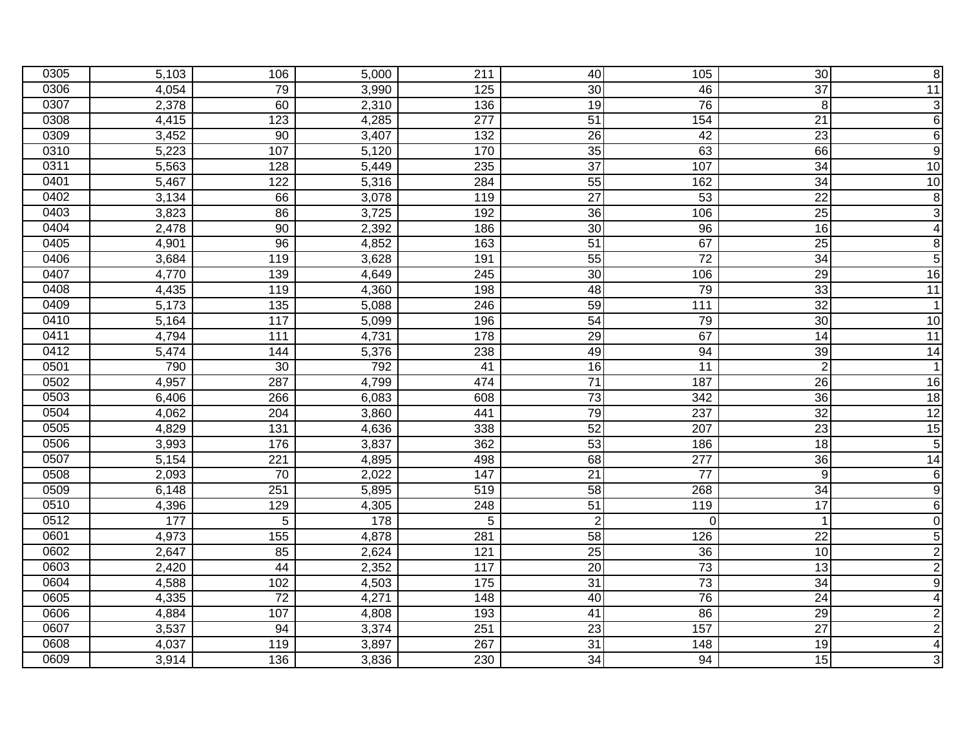| 0305 | 5,103 | 106               | 5,000 | 211               | 40              | 105              | 30              | $\bf 8$                 |
|------|-------|-------------------|-------|-------------------|-----------------|------------------|-----------------|-------------------------|
| 0306 | 4,054 | 79                | 3,990 | $\overline{125}$  | $\overline{30}$ | 46               | $\overline{37}$ | $\overline{11}$         |
| 0307 | 2,378 | 60                | 2,310 | 136               | $\overline{19}$ | 76               | $\bf 8$         | دن                      |
| 0308 | 4,415 | 123               | 4,285 | $\overline{277}$  | $\overline{51}$ | 154              | $\overline{21}$ | $\sigma$                |
| 0309 | 3,452 | 90                | 3,407 | 132               | 26              | 42               | 23              | $\,6$                   |
| 0310 | 5,223 | 107               | 5,120 | 170               | 35              | 63               | 66              | 9                       |
| 0311 | 5,563 | 128               | 5,449 | 235               | $\overline{37}$ | 107              | 34              | $\overline{10}$         |
| 0401 | 5,467 | 122               | 5,316 | 284               | 55              | 162              | 34              | 10                      |
| 0402 | 3,134 | 66                | 3,078 | 119               | $\overline{27}$ | 53               | $\overline{22}$ | $\infty$                |
| 0403 | 3,823 | 86                | 3,725 | 192               | 36              | 106              | 25              | $\overline{3}$          |
| 0404 | 2,478 | 90                | 2,392 | 186               | 30              | 96               | 16              | $\overline{\mathbf{A}}$ |
| 0405 | 4,901 | 96                | 4,852 | 163               | $\overline{51}$ | 67               | 25              | $\bf8$                  |
| 0406 | 3,684 | 119               | 3,628 | 191               | 55              | $\overline{72}$  | $\overline{34}$ | $\overline{5}$          |
| 0407 | 4,770 | 139               | 4,649 | $\overline{245}$  | 30              | 106              | 29              | 16                      |
| 0408 | 4,435 | 119               | 4,360 | 198               | 48              | 79               | 33              | $\overline{11}$         |
| 0409 | 5,173 | $\overline{135}$  | 5,088 | 246               | 59              | $\frac{111}{11}$ | $\overline{32}$ | $\overline{1}$          |
| 0410 | 5,164 | $\frac{117}{117}$ | 5,099 | 196               | $\overline{54}$ | 79               | 30              | $\overline{10}$         |
| 0411 | 4,794 | 111               | 4,731 | 178               | 29              | 67               | 14              | 11                      |
| 0412 | 5,474 | 144               | 5,376 | 238               | 49              | 94               | 39              | $\overline{14}$         |
| 0501 | 790   | 30                | 792   | 41                | $\overline{16}$ | 11               | $\overline{2}$  | 1                       |
| 0502 | 4,957 | 287               | 4,799 | 474               | $\overline{71}$ | 187              | 26              | 16                      |
| 0503 | 6,406 | 266               | 6,083 | 608               | 73              | 342              | 36              | 18                      |
| 0504 | 4,062 | 204               | 3,860 | 441               | 79              | 237              | 32              | $\overline{12}$         |
| 0505 | 4,829 | $\overline{131}$  | 4,636 | 338               | 52              | 207              | 23              | 15                      |
| 0506 | 3,993 | 176               | 3,837 | 362               | 53              | 186              | 18              | $\overline{5}$          |
| 0507 | 5,154 | $\overline{221}$  | 4,895 | 498               | 68              | 277              | $\overline{36}$ | 14                      |
| 0508 | 2,093 | 70                | 2,022 | 147               | $\overline{21}$ | $\overline{77}$  | 9               | $\sigma$                |
| 0509 | 6,148 | 251               | 5,895 | 519               | 58              | 268              | 34              | $\overline{9}$          |
| 0510 | 4,396 | 129               | 4,305 | 248               | $\overline{51}$ | 119              | 17              | $\,6$                   |
| 0512 | 177   | 5                 | 178   | 5                 | $\overline{2}$  | 0                | $\overline{1}$  | $\pmb{0}$               |
| 0601 | 4,973 | 155               | 4,878 | 281               | 58              | 126              | $\overline{22}$ | $\overline{5}$          |
| 0602 | 2,647 | 85                | 2,624 | 121               | $\overline{25}$ | 36               | 10              | $\overline{2}$          |
| 0603 | 2,420 | 44                | 2,352 | 117               | $\overline{20}$ | $\overline{73}$  | 13              | $\overline{2}$          |
| 0604 | 4,588 | 102               | 4,503 | $\frac{175}{175}$ | 31              | 73               | 34              | $\overline{9}$          |
| 0605 | 4,335 | 72                | 4,271 | 148               | 40              | 76               | 24              | $\overline{4}$          |
| 0606 | 4,884 | 107               | 4,808 | 193               | $\overline{41}$ | 86               | 29              | $\overline{2}$          |
| 0607 | 3,537 | 94                | 3,374 | 251               | $\overline{23}$ | 157              | $\overline{27}$ | $\overline{2}$          |
| 0608 | 4,037 | 119               | 3,897 | 267               | 31              | 148              | 19              | $\overline{4}$          |
| 0609 | 3,914 | 136               | 3,836 | 230               | 34              | 94               | 15              | $\mathbf{3}$            |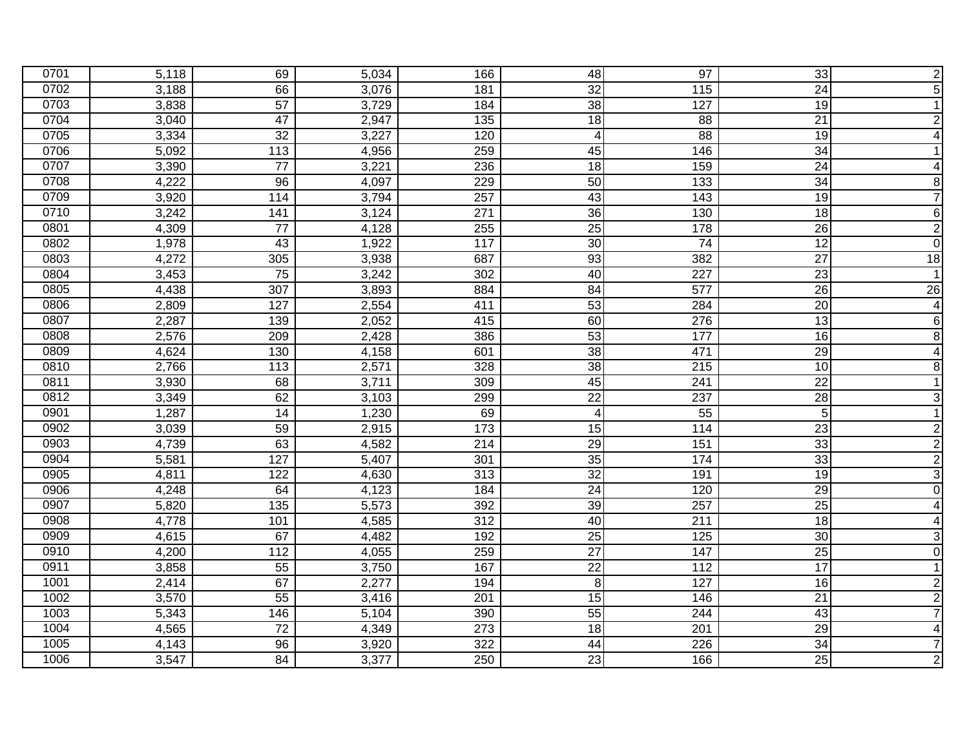| 0701 | 5,118 | 69               | 5,034 | 166              | 48              | 97               | 33              | $\boldsymbol{2}$        |
|------|-------|------------------|-------|------------------|-----------------|------------------|-----------------|-------------------------|
| 0702 | 3,188 | 66               | 3,076 | 181              | 32              | $\overline{115}$ | $\overline{24}$ | $\overline{5}$          |
| 0703 | 3,838 | 57               | 3,729 | 184              | 38              | 127              | 19              | $\mathbf{1}$            |
| 0704 | 3,040 | $\overline{47}$  | 2,947 | $\overline{135}$ | 18              | 88               | 21              | $\overline{2}$          |
| 0705 | 3,334 | $\overline{32}$  | 3,227 | 120              | $\overline{4}$  | 88               | 19              | $\blacktriangle$        |
| 0706 | 5,092 | 113              | 4,956 | 259              | 45              | 146              | 34              | $\mathbf{1}$            |
| 0707 | 3,390 | 77               | 3,221 | 236              | 18              | 159              | 24              | $\overline{4}$          |
| 0708 | 4,222 | 96               | 4,097 | 229              | 50              | 133              | 34              | $\infty$                |
| 0709 | 3,920 | 114              | 3,794 | 257              | 43              | 143              | 19              | $\overline{7}$          |
| 0710 | 3,242 | 141              | 3,124 | 271              | $\overline{36}$ | 130              | 18              | $6 \overline{}$         |
| 0801 | 4,309 | $\overline{77}$  | 4,128 | 255              | $\overline{25}$ | 178              | 26              | $\overline{2}$          |
| 0802 | 1,978 | 43               | 1,922 | 117              | 30              | 74               | 12              | $\pmb{0}$               |
| 0803 | 4,272 | 305              | 3,938 | 687              | 93              | 382              | $\overline{27}$ | $\overline{18}$         |
| 0804 | 3,453 | 75               | 3,242 | 302              | 40              | 227              | $\overline{23}$ | $\overline{1}$          |
| 0805 | 4,438 | 307              | 3,893 | 884              | 84              | 577              | 26              | 26                      |
| 0806 | 2,809 | 127              | 2,554 | 411              | 53              | 284              | 20              | $\overline{4}$          |
| 0807 | 2,287 | 139              | 2,052 | 415              | 60              | 276              | 13              | $\,$ 6 $\,$             |
| 0808 | 2,576 | 209              | 2,428 | 386              | 53              | 177              | $\overline{16}$ | $\bf 8$                 |
| 0809 | 4,624 | 130              | 4,158 | 601              | $\overline{38}$ | 471              | 29              | $\overline{4}$          |
| 0810 | 2,766 | 113              | 2,571 | 328              | 38              | 215              | 10              | $\bf 8$                 |
| 0811 | 3,930 | 68               | 3,711 | 309              | 45              | $\overline{241}$ | $\overline{22}$ | $\overline{1}$          |
| 0812 | 3,349 | 62               | 3,103 | 299              | $\overline{22}$ | 237              | $\overline{28}$ | دن                      |
| 0901 | 1,287 | $\overline{14}$  | 1,230 | 69               | $\overline{4}$  | 55               | $5\phantom{.0}$ | $\overline{1}$          |
| 0902 | 3,039 | 59               | 2,915 | 173              | 15              | 114              | 23              | $\overline{2}$          |
| 0903 | 4,739 | 63               | 4,582 | 214              | 29              | 151              | 33              | $\overline{2}$          |
| 0904 | 5,581 | 127              | 5,407 | 301              | 35              | 174              | 33              | $\overline{2}$          |
| 0905 | 4,811 | 122              | 4,630 | $\overline{313}$ | 32              | 191              | 19              | دن                      |
| 0906 | 4,248 | 64               | 4,123 | 184              | $\overline{24}$ | 120              | 29              | $\pmb{0}$               |
| 0907 | 5,820 | $\overline{135}$ | 5,573 | 392              | 39              | 257              | $\overline{25}$ | $\blacktriangle$        |
| 0908 | 4,778 | 101              | 4,585 | 312              | 40              | 211              | 18              | $\overline{4}$          |
| 0909 | 4,615 | 67               | 4,482 | 192              | $\overline{25}$ | 125              | 30              | دن                      |
| 0910 | 4,200 | $\frac{11}{2}$   | 4,055 | 259              | $\overline{27}$ | 147              | 25              | $\overline{\mathsf{o}}$ |
| 0911 | 3,858 | 55               | 3,750 | 167              | $\overline{22}$ | $\frac{11}{2}$   | $\overline{17}$ | $\overline{1}$          |
| 1001 | 2,414 | 67               | 2,277 | 194              | 8               | 127              | 16              | $\overline{2}$          |
| 1002 | 3,570 | 55               | 3,416 | 201              | 15              | 146              | 21              | $\overline{2}$          |
| 1003 | 5,343 | 146              | 5,104 | 390              | 55              | 244              | 43              | $\overline{7}$          |
| 1004 | 4,565 | $\overline{72}$  | 4,349 | $\overline{273}$ | $\overline{18}$ | 201              | 29              | $\overline{4}$          |
| 1005 | 4,143 | 96               | 3,920 | 322              | 44              | 226              | 34              | $\overline{7}$          |
| 1006 | 3,547 | 84               | 3,377 | 250              | $\overline{23}$ | 166              | 25              | $\overline{2}$          |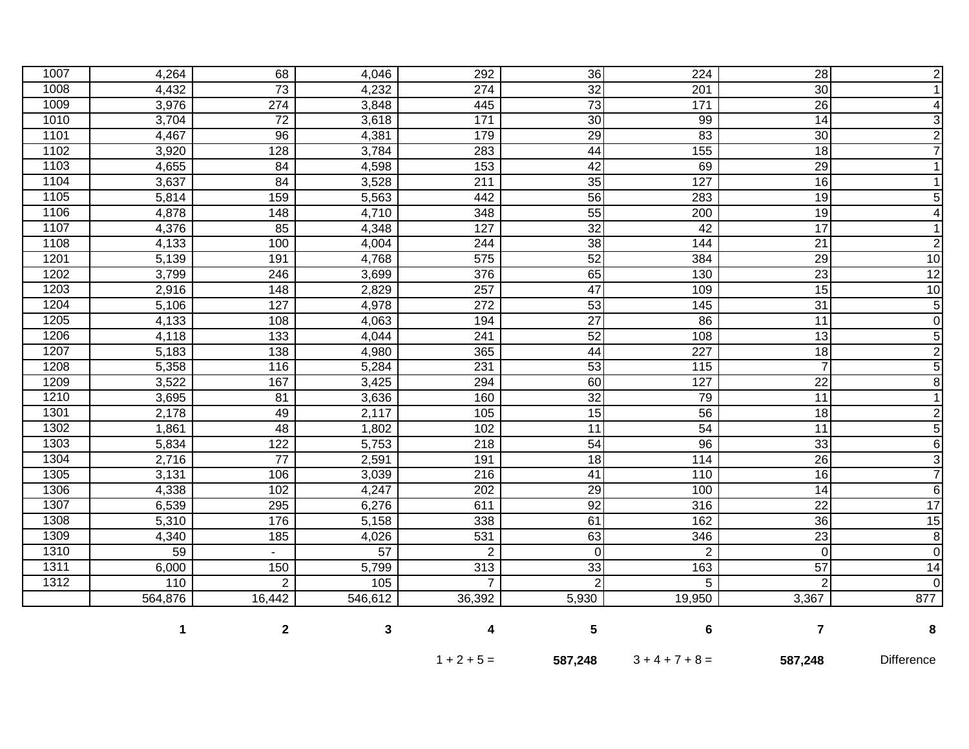|      | 1       | $\mathbf 2$      | 3               | 4                | 5               | 6                 | $\overline{7}$  | 8              |
|------|---------|------------------|-----------------|------------------|-----------------|-------------------|-----------------|----------------|
|      | 564,876 | 16,442           | 546,612         | 36,392           | 5,930           | 19,950            | 3,367           | 877            |
| 1312 | 110     | $\overline{2}$   | 105             | $\overline{7}$   | $\overline{2}$  | 5                 | $\overline{2}$  | $\mathbf 0$    |
| 1311 | 6,000   | 150              | 5,799           | $\overline{313}$ | 33              | 163               | 57              | 14             |
| 1310 | 59      |                  | $\overline{57}$ | $\overline{2}$   | $\Omega$        | $\overline{2}$    | $\overline{0}$  | $\overline{0}$ |
| 1309 | 4,340   | 185              | 4,026           | $\overline{531}$ | 63              | 346               | $\overline{23}$ | $\overline{8}$ |
| 1308 | 5,310   | 176              | 5,158           | 338              | 61              | 162               | 36              | 15             |
| 1307 | 6,539   | 295              | 6,276           | 611              | 92              | 316               | $\overline{22}$ | 17             |
| 1306 | 4,338   | 102              | 4,247           | 202              | 29              | 100               | $\overline{14}$ | 6              |
| 1305 | 3,131   | 106              | 3,039           | $\overline{216}$ | 41              | 110               | 16              | $\overline{7}$ |
| 1304 | 2,716   | $\overline{77}$  | 2,591           | 191              | $\overline{18}$ | 114               | $\overline{26}$ | $\overline{3}$ |
| 1303 | 5,834   | 122              | 5,753           | $\overline{218}$ | 54              | 96                | 33              | $\overline{6}$ |
| 1302 | 1,861   | 48               | 1,802           | 102              | 11              | 54                | 11              | $\overline{5}$ |
| 1301 | 2,178   | 49               | 2,117           | 105              | $\overline{15}$ | 56                | 18              | $\overline{2}$ |
| 1210 | 3,695   | $\overline{81}$  | 3,636           | 160              | $\overline{32}$ | 79                | 11              | $\overline{1}$ |
| 1209 | 3,522   | 167              | 3,425           | 294              | 60              | 127               | $\overline{22}$ | $\overline{8}$ |
| 1208 | 5,358   | 116              | 5,284           | 231              | 53              | $\frac{115}{115}$ | $\overline{7}$  | $\overline{5}$ |
| 1207 | 5,183   | 138              | 4,980           | 365              | 44              | $\overline{227}$  | 18              | $\overline{2}$ |
| 1206 | 4,118   | 133              | 4,044           | 241              | 52              | 108               | 13              | $\overline{5}$ |
| 1205 | 4,133   | 108              | 4,063           | 194              | $\overline{27}$ | 86                | $\overline{11}$ | $\overline{0}$ |
| 1204 | 5,106   | 127              | 4,978           | 272              | $\overline{53}$ | $\frac{145}{ }$   | 31              | $\overline{5}$ |
| 1203 | 2,916   | 148              | 2,829           | 257              | 47              | 109               | 15              | 10             |
| 1202 | 3,799   | 246              | 3,699           | 376              | 65              | 130               | $\overline{23}$ | 12             |
| 1201 | 5,139   | 191              | 4,768           | 575              | 52              | 384               | 29              | 10             |
| 1108 | 4,133   | 100              | 4,004           | 244              | $\overline{38}$ | 144               | $\overline{21}$ | $\overline{2}$ |
| 1107 | 4,376   | 85               | 4,348           | 127              | 32              | 42                | 17              | 1              |
| 1106 | 4,878   | 148              | 4,710           | 348              | 55              | 200               | 19              | $\overline{4}$ |
| 1105 | 5,814   | 159              | 5,563           | 442              | 56              | 283               | 19              | $\overline{5}$ |
| 1104 | 3,637   | 84               | 3,528           | $\overline{211}$ | $\overline{35}$ | 127               | 16              | $\mathbf{1}$   |
| 1103 | 4,655   | 84               | 4,598           | 153              | 42              | 69                | $\overline{29}$ | 1              |
| 1102 | 3,920   | 128              | 3,784           | 283              | 44              | 155               | 18              | $\overline{7}$ |
| 1101 | 4,467   | 96               | 4,381           | 179              | 29              | 83                | 30              | $\overline{2}$ |
| 1010 | 3,704   | $\overline{72}$  | 3,618           | $\frac{1}{171}$  | 30              | 99                | 14              | $\overline{3}$ |
| 1009 | 3,976   | $\overline{274}$ | 3,848           | 445              | 73              | 171               | 26              | 4              |
| 1008 | 4,432   | 73               | 4,232           | $\overline{274}$ | 32              | 201               | 30              | $\mathbf{1}$   |
| 1007 | 4,264   | 68               | 4,046           | 292              | 36              | 224               | 28              | $\mathbf{2}$   |

|  | $1 + 2 + 5 =$ | 587,248 | $3 + 4 + 7 + 8 =$ | 587,248 | <b>Difference</b> |
|--|---------------|---------|-------------------|---------|-------------------|
|--|---------------|---------|-------------------|---------|-------------------|